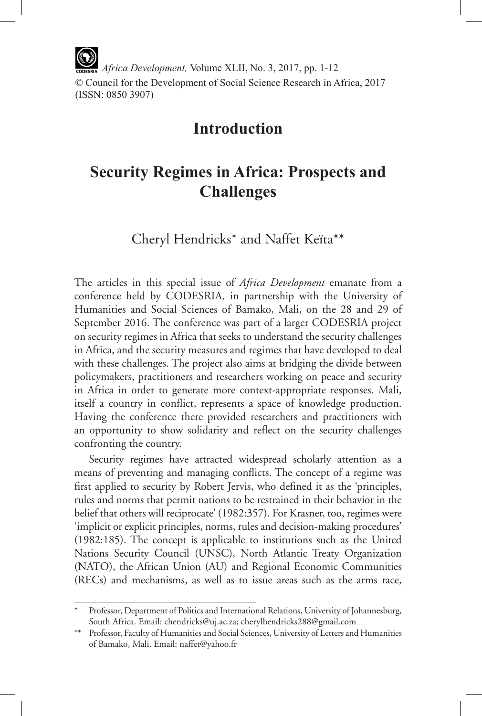*Africa Development,* Volume XLII, No. 3, 2017, pp. 1-12 © Council for the Development of Social Science Research in Africa, 2017 (ISSN: 0850 3907)

## **Introduction**

# **Security Regimes in Africa: Prospects and Challenges**

Cheryl Hendricks\* and Naffet Keïta\*\*

The articles in this special issue of *Africa Development* emanate from a conference held by CODESRIA, in partnership with the University of Humanities and Social Sciences of Bamako, Mali, on the 28 and 29 of September 2016. The conference was part of a larger CODESRIA project on security regimes in Africa that seeks to understand the security challenges in Africa, and the security measures and regimes that have developed to deal with these challenges. The project also aims at bridging the divide between policymakers, practitioners and researchers working on peace and security in Africa in order to generate more context-appropriate responses. Mali, itself a country in conflict, represents a space of knowledge production. Having the conference there provided researchers and practitioners with an opportunity to show solidarity and reflect on the security challenges confronting the country.

Security regimes have attracted widespread scholarly attention as a means of preventing and managing conflicts. The concept of a regime was first applied to security by Robert Jervis, who defined it as the 'principles, rules and norms that permit nations to be restrained in their behavior in the belief that others will reciprocate' (1982:357). For Krasner, too, regimes were 'implicit or explicit principles, norms, rules and decision-making procedures' (1982:185). The concept is applicable to institutions such as the United Nations Security Council (UNSC), North Atlantic Treaty Organization (NATO), the African Union (AU) and Regional Economic Communities (RECs) and mechanisms, as well as to issue areas such as the arms race,

Professor, Department of Politics and International Relations, University of Johannesburg, South Africa. Email: chendricks@uj.ac.za; cherylhendricks288@gmail.com

<sup>\*\*</sup> Professor, Faculty of Humanities and Social Sciences, University of Letters and Humanities of Bamako, Mali. Email: naffet@yahoo.fr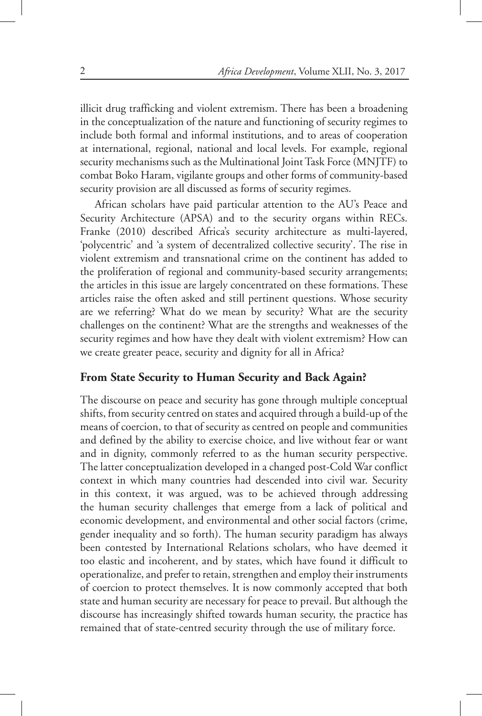illicit drug trafficking and violent extremism. There has been a broadening in the conceptualization of the nature and functioning of security regimes to include both formal and informal institutions, and to areas of cooperation at international, regional, national and local levels. For example, regional security mechanisms such as the Multinational Joint Task Force (MNJTF) to combat Boko Haram, vigilante groups and other forms of community-based security provision are all discussed as forms of security regimes.

African scholars have paid particular attention to the AU's Peace and Security Architecture (APSA) and to the security organs within RECs. Franke (2010) described Africa's security architecture as multi-layered, 'polycentric' and 'a system of decentralized collective security'. The rise in violent extremism and transnational crime on the continent has added to the proliferation of regional and community-based security arrangements; the articles in this issue are largely concentrated on these formations. These articles raise the often asked and still pertinent questions. Whose security are we referring? What do we mean by security? What are the security challenges on the continent? What are the strengths and weaknesses of the security regimes and how have they dealt with violent extremism? How can we create greater peace, security and dignity for all in Africa?

#### **From State Security to Human Security and Back Again?**

The discourse on peace and security has gone through multiple conceptual shifts, from security centred on states and acquired through a build-up of the means of coercion, to that of security as centred on people and communities and defined by the ability to exercise choice, and live without fear or want and in dignity, commonly referred to as the human security perspective. The latter conceptualization developed in a changed post-Cold War conflict context in which many countries had descended into civil war. Security in this context, it was argued, was to be achieved through addressing the human security challenges that emerge from a lack of political and economic development, and environmental and other social factors (crime, gender inequality and so forth). The human security paradigm has always been contested by International Relations scholars, who have deemed it too elastic and incoherent, and by states, which have found it difficult to operationalize, and prefer to retain, strengthen and employ their instruments of coercion to protect themselves. It is now commonly accepted that both state and human security are necessary for peace to prevail. But although the discourse has increasingly shifted towards human security, the practice has remained that of state-centred security through the use of military force.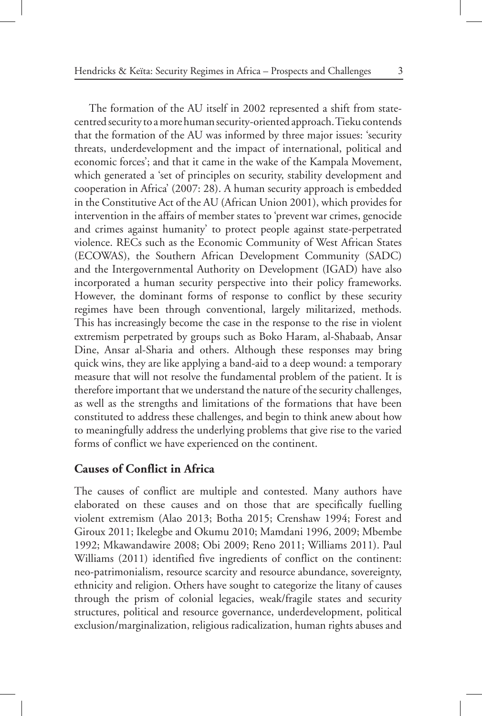The formation of the AU itself in 2002 represented a shift from statecentred security to a more human security-oriented approach. Tieku contends that the formation of the AU was informed by three major issues: 'security threats, underdevelopment and the impact of international, political and economic forces'; and that it came in the wake of the Kampala Movement, which generated a 'set of principles on security, stability development and cooperation in Africa' (2007: 28). A human security approach is embedded in the Constitutive Act of the AU (African Union 2001), which provides for intervention in the affairs of member states to 'prevent war crimes, genocide and crimes against humanity' to protect people against state-perpetrated violence. RECs such as the Economic Community of West African States (ECOWAS), the Southern African Development Community (SADC) and the Intergovernmental Authority on Development (IGAD) have also incorporated a human security perspective into their policy frameworks. However, the dominant forms of response to conflict by these security regimes have been through conventional, largely militarized, methods. This has increasingly become the case in the response to the rise in violent extremism perpetrated by groups such as Boko Haram, al-Shabaab, Ansar Dine, Ansar al-Sharia and others. Although these responses may bring quick wins, they are like applying a band-aid to a deep wound: a temporary measure that will not resolve the fundamental problem of the patient. It is therefore important that we understand the nature of the security challenges, as well as the strengths and limitations of the formations that have been constituted to address these challenges, and begin to think anew about how to meaningfully address the underlying problems that give rise to the varied forms of conflict we have experienced on the continent.

#### **Causes of Conflict in Africa**

The causes of conflict are multiple and contested. Many authors have elaborated on these causes and on those that are specifically fuelling violent extremism (Alao 2013; Botha 2015; Crenshaw 1994; Forest and Giroux 2011; Ikelegbe and Okumu 2010; Mamdani 1996, 2009; Mbembe 1992; Mkawandawire 2008; Obi 2009; Reno 2011; Williams 2011). Paul Williams (2011) identified five ingredients of conflict on the continent: neo-patrimonialism, resource scarcity and resource abundance, sovereignty, ethnicity and religion. Others have sought to categorize the litany of causes through the prism of colonial legacies, weak/fragile states and security structures, political and resource governance, underdevelopment, political exclusion/marginalization, religious radicalization, human rights abuses and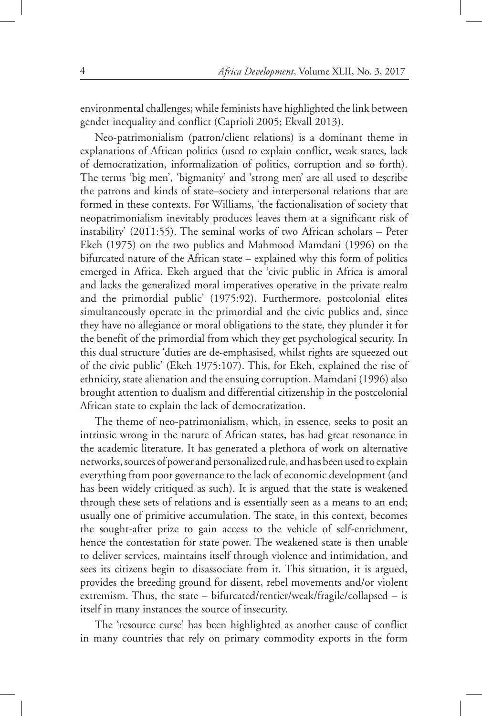environmental challenges; while feminists have highlighted the link between gender inequality and conflict (Caprioli 2005; Ekvall 2013).

Neo-patrimonialism (patron/client relations) is a dominant theme in explanations of African politics (used to explain conflict, weak states, lack of democratization, informalization of politics, corruption and so forth). The terms 'big men', 'bigmanity' and 'strong men' are all used to describe the patrons and kinds of state–society and interpersonal relations that are formed in these contexts. For Williams, 'the factionalisation of society that neopatrimonialism inevitably produces leaves them at a significant risk of instability' (2011:55). The seminal works of two African scholars – Peter Ekeh (1975) on the two publics and Mahmood Mamdani (1996) on the bifurcated nature of the African state – explained why this form of politics emerged in Africa. Ekeh argued that the 'civic public in Africa is amoral and lacks the generalized moral imperatives operative in the private realm and the primordial public' (1975:92). Furthermore, postcolonial elites simultaneously operate in the primordial and the civic publics and, since they have no allegiance or moral obligations to the state, they plunder it for the benefit of the primordial from which they get psychological security. In this dual structure 'duties are de-emphasised, whilst rights are squeezed out of the civic public' (Ekeh 1975:107). This, for Ekeh, explained the rise of ethnicity, state alienation and the ensuing corruption. Mamdani (1996) also brought attention to dualism and differential citizenship in the postcolonial African state to explain the lack of democratization.

The theme of neo-patrimonialism, which, in essence, seeks to posit an intrinsic wrong in the nature of African states, has had great resonance in the academic literature. It has generated a plethora of work on alternative networks, sources of power and personalized rule, and has been used to explain everything from poor governance to the lack of economic development (and has been widely critiqued as such). It is argued that the state is weakened through these sets of relations and is essentially seen as a means to an end; usually one of primitive accumulation. The state, in this context, becomes the sought-after prize to gain access to the vehicle of self-enrichment, hence the contestation for state power. The weakened state is then unable to deliver services, maintains itself through violence and intimidation, and sees its citizens begin to disassociate from it. This situation, it is argued, provides the breeding ground for dissent, rebel movements and/or violent extremism. Thus, the state – bifurcated/rentier/weak/fragile/collapsed – is itself in many instances the source of insecurity.

The 'resource curse' has been highlighted as another cause of conflict in many countries that rely on primary commodity exports in the form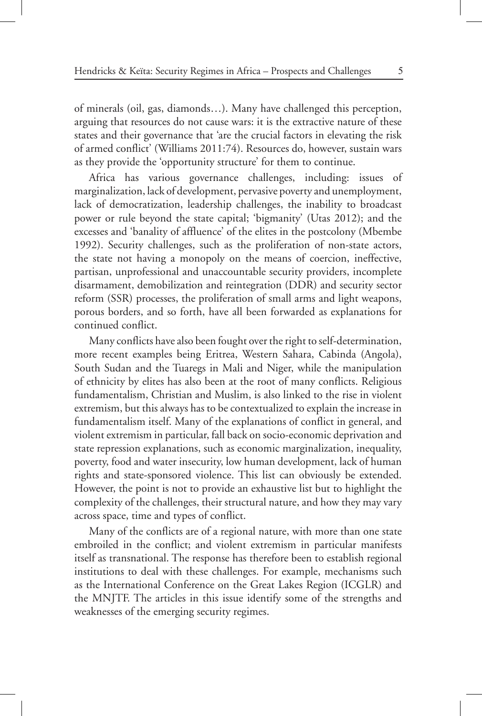of minerals (oil, gas, diamonds…). Many have challenged this perception, arguing that resources do not cause wars: it is the extractive nature of these states and their governance that 'are the crucial factors in elevating the risk of armed conflict' (Williams 2011:74). Resources do, however, sustain wars as they provide the 'opportunity structure' for them to continue.

Africa has various governance challenges, including: issues of marginalization, lack of development, pervasive poverty and unemployment, lack of democratization, leadership challenges, the inability to broadcast power or rule beyond the state capital; 'bigmanity' (Utas 2012); and the excesses and 'banality of affluence' of the elites in the postcolony (Mbembe 1992). Security challenges, such as the proliferation of non-state actors, the state not having a monopoly on the means of coercion, ineffective, partisan, unprofessional and unaccountable security providers, incomplete disarmament, demobilization and reintegration (DDR) and security sector reform (SSR) processes, the proliferation of small arms and light weapons, porous borders, and so forth, have all been forwarded as explanations for continued conflict.

Many conflicts have also been fought over the right to self-determination, more recent examples being Eritrea, Western Sahara, Cabinda (Angola), South Sudan and the Tuaregs in Mali and Niger, while the manipulation of ethnicity by elites has also been at the root of many conflicts. Religious fundamentalism, Christian and Muslim, is also linked to the rise in violent extremism, but this always has to be contextualized to explain the increase in fundamentalism itself. Many of the explanations of conflict in general, and violent extremism in particular, fall back on socio-economic deprivation and state repression explanations, such as economic marginalization, inequality, poverty, food and water insecurity, low human development, lack of human rights and state-sponsored violence. This list can obviously be extended. However, the point is not to provide an exhaustive list but to highlight the complexity of the challenges, their structural nature, and how they may vary across space, time and types of conflict.

Many of the conflicts are of a regional nature, with more than one state embroiled in the conflict; and violent extremism in particular manifests itself as transnational. The response has therefore been to establish regional institutions to deal with these challenges. For example, mechanisms such as the International Conference on the Great Lakes Region (ICGLR) and the MNJTF. The articles in this issue identify some of the strengths and weaknesses of the emerging security regimes.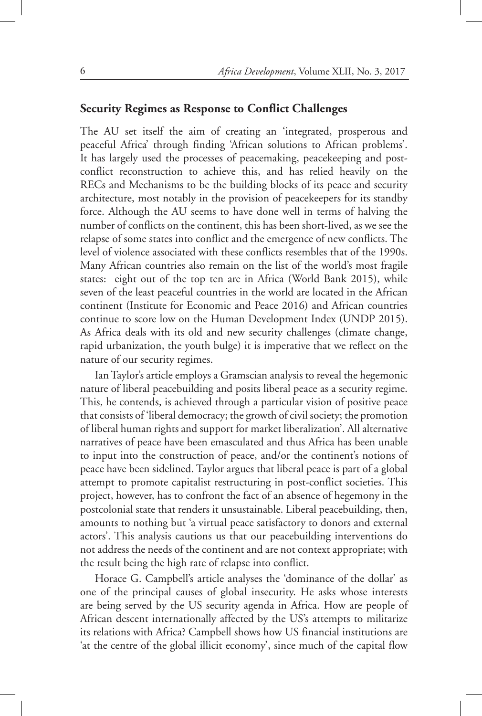### **Security Regimes as Response to Conflict Challenges**

The AU set itself the aim of creating an 'integrated, prosperous and peaceful Africa' through finding 'African solutions to African problems'. It has largely used the processes of peacemaking, peacekeeping and postconflict reconstruction to achieve this, and has relied heavily on the RECs and Mechanisms to be the building blocks of its peace and security architecture, most notably in the provision of peacekeepers for its standby force. Although the AU seems to have done well in terms of halving the number of conflicts on the continent, this has been short-lived, as we see the relapse of some states into conflict and the emergence of new conflicts. The level of violence associated with these conflicts resembles that of the 1990s. Many African countries also remain on the list of the world's most fragile states: eight out of the top ten are in Africa (World Bank 2015), while seven of the least peaceful countries in the world are located in the African continent (Institute for Economic and Peace 2016) and African countries continue to score low on the Human Development Index (UNDP 2015). As Africa deals with its old and new security challenges (climate change, rapid urbanization, the youth bulge) it is imperative that we reflect on the nature of our security regimes.

Ian Taylor's article employs a Gramscian analysis to reveal the hegemonic nature of liberal peacebuilding and posits liberal peace as a security regime. This, he contends, is achieved through a particular vision of positive peace that consists of 'liberal democracy; the growth of civil society; the promotion of liberal human rights and support for market liberalization'. All alternative narratives of peace have been emasculated and thus Africa has been unable to input into the construction of peace, and/or the continent's notions of peace have been sidelined. Taylor argues that liberal peace is part of a global attempt to promote capitalist restructuring in post-conflict societies. This project, however, has to confront the fact of an absence of hegemony in the postcolonial state that renders it unsustainable. Liberal peacebuilding, then, amounts to nothing but 'a virtual peace satisfactory to donors and external actors'. This analysis cautions us that our peacebuilding interventions do not address the needs of the continent and are not context appropriate; with the result being the high rate of relapse into conflict.

Horace G. Campbell's article analyses the 'dominance of the dollar' as one of the principal causes of global insecurity. He asks whose interests are being served by the US security agenda in Africa. How are people of African descent internationally affected by the US's attempts to militarize its relations with Africa? Campbell shows how US financial institutions are 'at the centre of the global illicit economy', since much of the capital flow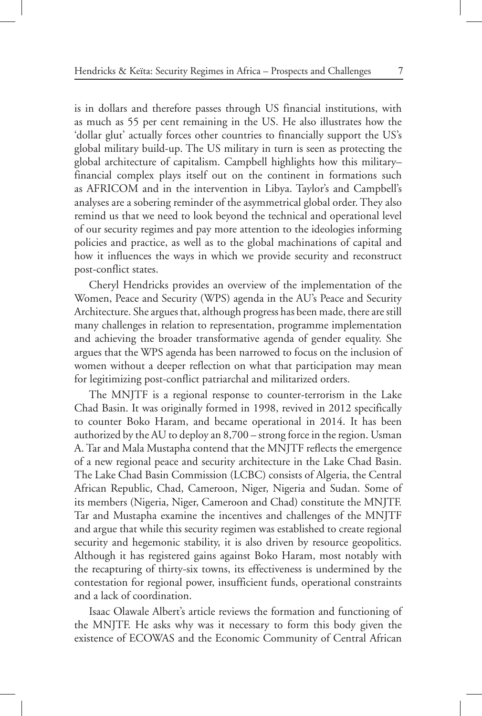is in dollars and therefore passes through US financial institutions, with as much as 55 per cent remaining in the US. He also illustrates how the 'dollar glut' actually forces other countries to financially support the US's global military build-up. The US military in turn is seen as protecting the global architecture of capitalism. Campbell highlights how this military– financial complex plays itself out on the continent in formations such as AFRICOM and in the intervention in Libya. Taylor's and Campbell's analyses are a sobering reminder of the asymmetrical global order. They also remind us that we need to look beyond the technical and operational level of our security regimes and pay more attention to the ideologies informing policies and practice, as well as to the global machinations of capital and how it influences the ways in which we provide security and reconstruct post-conflict states.

Cheryl Hendricks provides an overview of the implementation of the Women, Peace and Security (WPS) agenda in the AU's Peace and Security Architecture. She argues that, although progress has been made, there are still many challenges in relation to representation, programme implementation and achieving the broader transformative agenda of gender equality. She argues that the WPS agenda has been narrowed to focus on the inclusion of women without a deeper reflection on what that participation may mean for legitimizing post-conflict patriarchal and militarized orders.

The MNJTF is a regional response to counter-terrorism in the Lake Chad Basin. It was originally formed in 1998, revived in 2012 specifically to counter Boko Haram, and became operational in 2014. It has been authorized by the AU to deploy an 8,700 – strong force in the region. Usman A. Tar and Mala Mustapha contend that the MNJTF reflects the emergence of a new regional peace and security architecture in the Lake Chad Basin. The Lake Chad Basin Commission (LCBC) consists of Algeria, the Central African Republic, Chad, Cameroon, Niger, Nigeria and Sudan. Some of its members (Nigeria, Niger, Cameroon and Chad) constitute the MNJTF. Tar and Mustapha examine the incentives and challenges of the MNJTF and argue that while this security regimen was established to create regional security and hegemonic stability, it is also driven by resource geopolitics. Although it has registered gains against Boko Haram, most notably with the recapturing of thirty-six towns, its effectiveness is undermined by the contestation for regional power, insufficient funds, operational constraints and a lack of coordination.

Isaac Olawale Albert's article reviews the formation and functioning of the MNJTF. He asks why was it necessary to form this body given the existence of ECOWAS and the Economic Community of Central African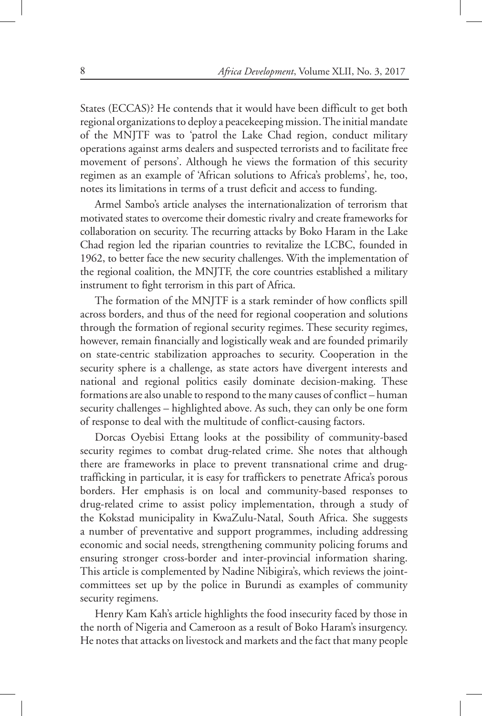States (ECCAS)? He contends that it would have been difficult to get both regional organizations to deploy a peacekeeping mission. The initial mandate of the MNJTF was to 'patrol the Lake Chad region, conduct military operations against arms dealers and suspected terrorists and to facilitate free movement of persons'. Although he views the formation of this security regimen as an example of 'African solutions to Africa's problems', he, too, notes its limitations in terms of a trust deficit and access to funding.

Armel Sambo's article analyses the internationalization of terrorism that motivated states to overcome their domestic rivalry and create frameworks for collaboration on security. The recurring attacks by Boko Haram in the Lake Chad region led the riparian countries to revitalize the LCBC, founded in 1962, to better face the new security challenges. With the implementation of the regional coalition, the MNJTF, the core countries established a military instrument to fight terrorism in this part of Africa.

The formation of the MNJTF is a stark reminder of how conflicts spill across borders, and thus of the need for regional cooperation and solutions through the formation of regional security regimes. These security regimes, however, remain financially and logistically weak and are founded primarily on state-centric stabilization approaches to security. Cooperation in the security sphere is a challenge, as state actors have divergent interests and national and regional politics easily dominate decision-making. These formations are also unable to respond to the many causes of conflict – human security challenges – highlighted above. As such, they can only be one form of response to deal with the multitude of conflict-causing factors.

Dorcas Oyebisi Ettang looks at the possibility of community-based security regimes to combat drug-related crime. She notes that although there are frameworks in place to prevent transnational crime and drugtrafficking in particular, it is easy for traffickers to penetrate Africa's porous borders. Her emphasis is on local and community-based responses to drug-related crime to assist policy implementation, through a study of the Kokstad municipality in KwaZulu-Natal, South Africa. She suggests a number of preventative and support programmes, including addressing economic and social needs, strengthening community policing forums and ensuring stronger cross-border and inter-provincial information sharing. This article is complemented by Nadine Nibigira's, which reviews the jointcommittees set up by the police in Burundi as examples of community security regimens.

Henry Kam Kah's article highlights the food insecurity faced by those in the north of Nigeria and Cameroon as a result of Boko Haram's insurgency. He notes that attacks on livestock and markets and the fact that many people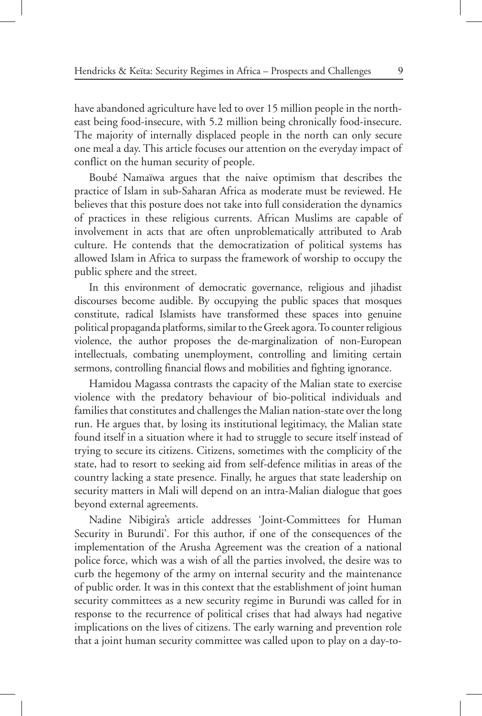have abandoned agriculture have led to over 15 million people in the northeast being food-insecure, with 5.2 million being chronically food-insecure. The majority of internally displaced people in the north can only secure one meal a day. This article focuses our attention on the everyday impact of conflict on the human security of people.

Boubé Namaïwa argues that the naive optimism that describes the practice of Islam in sub-Saharan Africa as moderate must be reviewed. He believes that this posture does not take into full consideration the dynamics of practices in these religious currents. African Muslims are capable of involvement in acts that are often unproblematically attributed to Arab culture. He contends that the democratization of political systems has allowed Islam in Africa to surpass the framework of worship to occupy the public sphere and the street.

In this environment of democratic governance, religious and jihadist discourses become audible. By occupying the public spaces that mosques constitute, radical Islamists have transformed these spaces into genuine political propaganda platforms, similar to the Greek agora. To counter religious violence, the author proposes the de-marginalization of non-European intellectuals, combating unemployment, controlling and limiting certain sermons, controlling financial flows and mobilities and fighting ignorance.

Hamidou Magassa contrasts the capacity of the Malian state to exercise violence with the predatory behaviour of bio-political individuals and families that constitutes and challenges the Malian nation-state over the long run. He argues that, by losing its institutional legitimacy, the Malian state found itself in a situation where it had to struggle to secure itself instead of trying to secure its citizens. Citizens, sometimes with the complicity of the state, had to resort to seeking aid from self-defence militias in areas of the country lacking a state presence. Finally, he argues that state leadership on security matters in Mali will depend on an intra-Malian dialogue that goes beyond external agreements.

Nadine Nibigira's article addresses 'Joint-Committees for Human Security in Burundi'. For this author, if one of the consequences of the implementation of the Arusha Agreement was the creation of a national police force, which was a wish of all the parties involved, the desire was to curb the hegemony of the army on internal security and the maintenance of public order. It was in this context that the establishment of joint human security committees as a new security regime in Burundi was called for in response to the recurrence of political crises that had always had negative implications on the lives of citizens. The early warning and prevention role that a joint human security committee was called upon to play on a day-to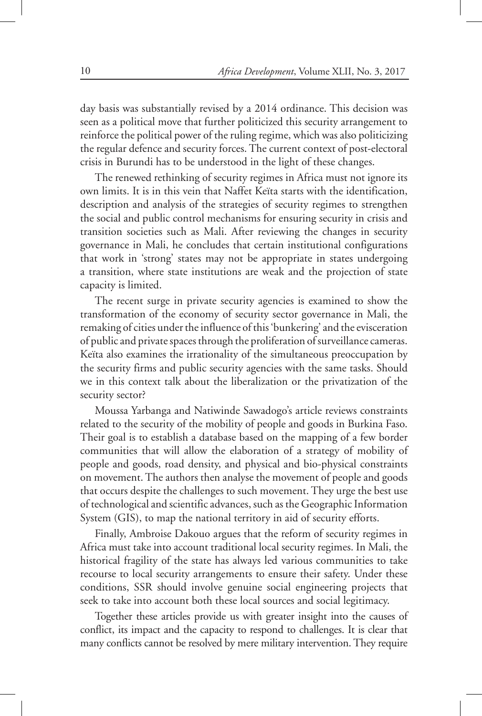day basis was substantially revised by a 2014 ordinance. This decision was seen as a political move that further politicized this security arrangement to reinforce the political power of the ruling regime, which was also politicizing the regular defence and security forces. The current context of post-electoral crisis in Burundi has to be understood in the light of these changes.

The renewed rethinking of security regimes in Africa must not ignore its own limits. It is in this vein that Naffet Keïta starts with the identification, description and analysis of the strategies of security regimes to strengthen the social and public control mechanisms for ensuring security in crisis and transition societies such as Mali. After reviewing the changes in security governance in Mali, he concludes that certain institutional configurations that work in 'strong' states may not be appropriate in states undergoing a transition, where state institutions are weak and the projection of state capacity is limited.

The recent surge in private security agencies is examined to show the transformation of the economy of security sector governance in Mali, the remaking of cities under the influence of this 'bunkering' and the evisceration of public and private spaces through the proliferation of surveillance cameras. Keïta also examines the irrationality of the simultaneous preoccupation by the security firms and public security agencies with the same tasks. Should we in this context talk about the liberalization or the privatization of the security sector?

Moussa Yarbanga and Natiwinde Sawadogo's article reviews constraints related to the security of the mobility of people and goods in Burkina Faso. Their goal is to establish a database based on the mapping of a few border communities that will allow the elaboration of a strategy of mobility of people and goods, road density, and physical and bio-physical constraints on movement. The authors then analyse the movement of people and goods that occurs despite the challenges to such movement. They urge the best use of technological and scientific advances, such as the Geographic Information System (GIS), to map the national territory in aid of security efforts.

Finally, Ambroise Dakouo argues that the reform of security regimes in Africa must take into account traditional local security regimes. In Mali, the historical fragility of the state has always led various communities to take recourse to local security arrangements to ensure their safety. Under these conditions, SSR should involve genuine social engineering projects that seek to take into account both these local sources and social legitimacy.

Together these articles provide us with greater insight into the causes of conflict, its impact and the capacity to respond to challenges. It is clear that many conflicts cannot be resolved by mere military intervention. They require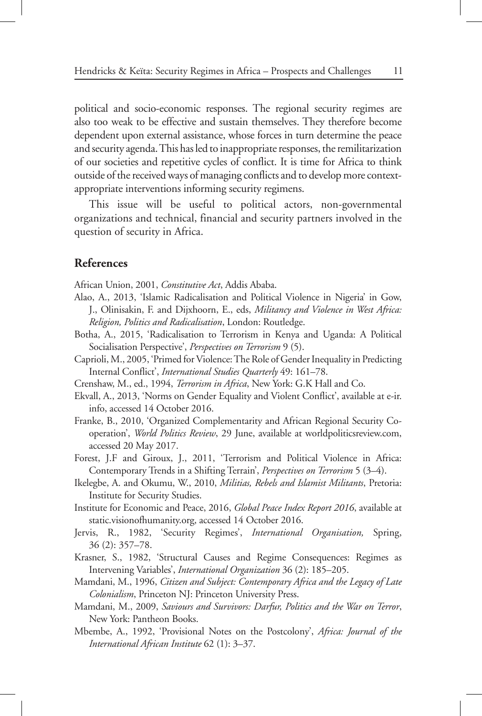political and socio-economic responses. The regional security regimes are also too weak to be effective and sustain themselves. They therefore become dependent upon external assistance, whose forces in turn determine the peace and security agenda. This has led to inappropriate responses, the remilitarization of our societies and repetitive cycles of conflict. It is time for Africa to think outside of the received ways of managing conflicts and to develop more contextappropriate interventions informing security regimens.

This issue will be useful to political actors, non-governmental organizations and technical, financial and security partners involved in the question of security in Africa.

#### **References**

African Union, 2001, *Constitutive Act*, Addis Ababa.

- Alao, A., 2013, 'Islamic Radicalisation and Political Violence in Nigeria' in Gow, J., Olinisakin, F. and Dijxhoorn, E., eds, *Militancy and Violence in West Africa: Religion, Politics and Radicalisation*, London: Routledge.
- Botha, A., 2015, 'Radicalisation to Terrorism in Kenya and Uganda: A Political Socialisation Perspective', *Perspectives on Terrorism* 9 (5).
- Caprioli, M., 2005, 'Primed for Violence: The Role of Gender Inequality in Predicting Internal Conflict', *International Studies Quarterly* 49: 161–78.
- Crenshaw, M., ed., 1994, *Terrorism in Africa*, New York: G.K Hall and Co.
- Ekvall, A., 2013, 'Norms on Gender Equality and Violent Conflict', available at e-ir. info, accessed 14 October 2016.
- Franke, B., 2010, 'Organized Complementarity and African Regional Security Cooperation', *World Politics Review*, 29 June, available at worldpoliticsreview.com, accessed 20 May 2017.

Forest, J.F and Giroux, J., 2011, 'Terrorism and Political Violence in Africa: Contemporary Trends in a Shifting Terrain', *Perspectives on Terrorism* 5 (3–4).

- Ikelegbe, A. and Okumu, W., 2010, *Militias, Rebels and Islamist Militants*, Pretoria: Institute for Security Studies.
- Institute for Economic and Peace, 2016, *Global Peace Index Report 2016*, available at static.visionofhumanity.org, accessed 14 October 2016.
- Jervis, R., 1982, 'Security Regimes', *International Organisation,* Spring, 36 (2): 357–78.
- Krasner, S., 1982, 'Structural Causes and Regime Consequences: Regimes as Intervening Variables', *International Organization* 36 (2): 185–205.
- Mamdani, M., 1996, *Citizen and Subject: Contemporary Africa and the Legacy of Late Colonialism*, Princeton NJ: Princeton University Press.
- Mamdani, M., 2009, *Saviours and Survivors: Darfur, Politics and the War on Terror*, New York: Pantheon Books.
- Mbembe, A., 1992, 'Provisional Notes on the Postcolony', *Africa: Journal of the International African Institute* 62 (1): 3–37.